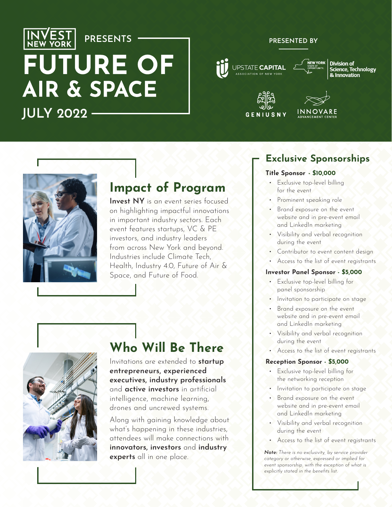

# **FUTURE OF** AIR & SPACE **JULY 2022**

**PRESENTS**

## **PRESENTED BY**







**Division of Science, Technology** & Innovation







## **Impact of Program**

**Invest NY** is an event series focused on highlighting impactful innovations in important industry sectors. Each event features startups, VC & PE investors, and industry leaders from across New York and beyond. Industries include Climate Tech, Health, Industry 4.0, Future of Air & Space, and Future of Food.



## **Who Will Be There**

Invitations are extended to **startup entrepreneurs, experienced executives, industry professionals** and **active investors** in artificial intelligence, machine learning, drones and uncrewed systems.

Along with gaining knowledge about what's happening in these industries, attendees will make connections with **innovators, investors** and **industry experts** all in one place.

## **Exclusive Sponsorships**

### **Title Sponsor - \$10,000**

- Exclusive top-level billing for the event
- Prominent speaking role
- Brand exposure on the event website and in pre-event email and LinkedIn marketing
- Visibility and verbal recognition during the event
- Contributor to event content design
- Access to the list of event registrants

#### **Investor Panel Sponsor - \$5,000**

- Exclusive top-level billing for panel sponsorship
- Invitation to participate on stage
- Brand exposure on the event website and in pre-event email and LinkedIn marketing
- Visibility and verbal recognition during the event
- Access to the list of event registrants

#### **Reception Sponsor - \$5,000**

- Exclusive top-level billing for the networking reception
- Invitation to participate on stage
- Brand exposure on the event website and in pre-event email and LinkedIn marketing
- Visibility and verbal recognition during the event
- Access to the list of event registrants

*Note: There is no exclusivity, by service provider category or otherwise, expressed or implied for event sponsorship, with the exception of what is explicitly stated in the benefits list.*